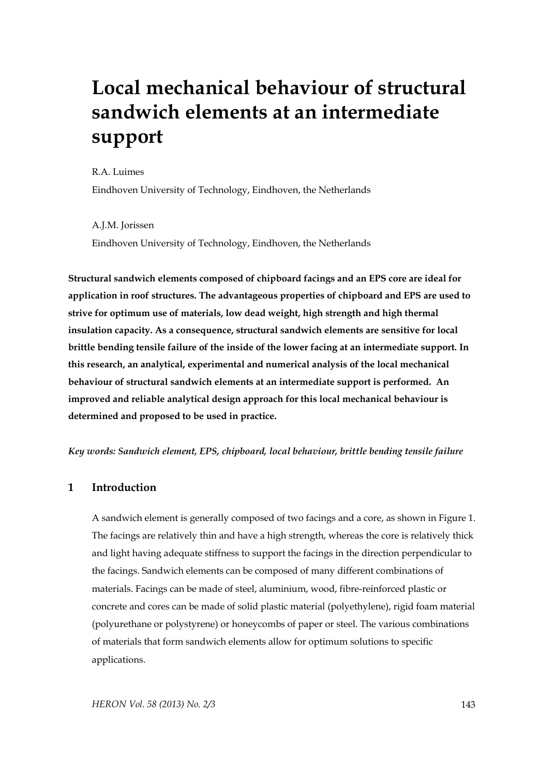# **Local mechanical behaviour of structural sandwich elements at an intermediate support**

R.A. Luimes

Eindhoven University of Technology, Eindhoven, the Netherlands

A.J.M. Jorissen Eindhoven University of Technology, Eindhoven, the Netherlands

**Structural sandwich elements composed of chipboard facings and an EPS core are ideal for application in roof structures. The advantageous properties of chipboard and EPS are used to strive for optimum use of materials, low dead weight, high strength and high thermal insulation capacity. As a consequence, structural sandwich elements are sensitive for local brittle bending tensile failure of the inside of the lower facing at an intermediate support. In this research, an analytical, experimental and numerical analysis of the local mechanical behaviour of structural sandwich elements at an intermediate support is performed. An improved and reliable analytical design approach for this local mechanical behaviour is determined and proposed to be used in practice.** 

*Key words: Sandwich element, EPS, chipboard, local behaviour, brittle bending tensile failure* 

# **1 Introduction**

A sandwich element is generally composed of two facings and a core, as shown in Figure 1. The facings are relatively thin and have a high strength, whereas the core is relatively thick and light having adequate stiffness to support the facings in the direction perpendicular to the facings. Sandwich elements can be composed of many different combinations of materials. Facings can be made of steel, aluminium, wood, fibre-reinforced plastic or concrete and cores can be made of solid plastic material (polyethylene), rigid foam material (polyurethane or polystyrene) or honeycombs of paper or steel. The various combinations of materials that form sandwich elements allow for optimum solutions to specific applications.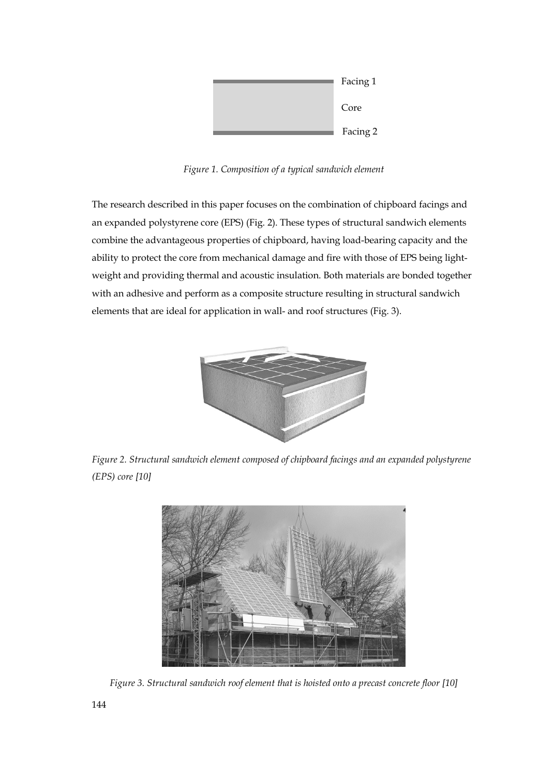

*Figure 1. Composition of a typical sandwich element* 

The research described in this paper focuses on the combination of chipboard facings and an expanded polystyrene core (EPS) (Fig. 2). These types of structural sandwich elements combine the advantageous properties of chipboard, having load-bearing capacity and the ability to protect the core from mechanical damage and fire with those of EPS being lightweight and providing thermal and acoustic insulation. Both materials are bonded together with an adhesive and perform as a composite structure resulting in structural sandwich elements that are ideal for application in wall- and roof structures (Fig. 3).



*Figure 2. Structural sandwich element composed of chipboard facings and an expanded polystyrene (EPS) core [10]* 



*Figure 3. Structural sandwich roof element that is hoisted onto a precast concrete floor [10]*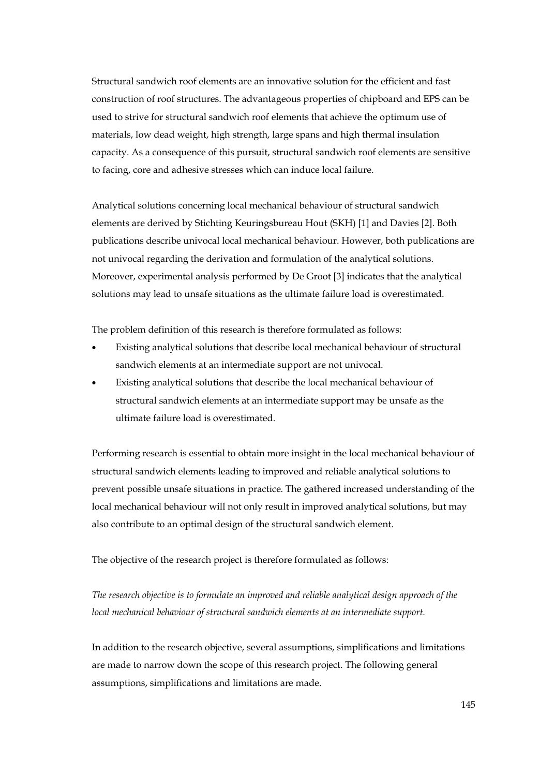Structural sandwich roof elements are an innovative solution for the efficient and fast construction of roof structures. The advantageous properties of chipboard and EPS can be used to strive for structural sandwich roof elements that achieve the optimum use of materials, low dead weight, high strength, large spans and high thermal insulation capacity. As a consequence of this pursuit, structural sandwich roof elements are sensitive to facing, core and adhesive stresses which can induce local failure.

Analytical solutions concerning local mechanical behaviour of structural sandwich elements are derived by Stichting Keuringsbureau Hout (SKH) [1] and Davies [2]. Both publications describe univocal local mechanical behaviour. However, both publications are not univocal regarding the derivation and formulation of the analytical solutions. Moreover, experimental analysis performed by De Groot [3] indicates that the analytical solutions may lead to unsafe situations as the ultimate failure load is overestimated.

The problem definition of this research is therefore formulated as follows:

- Existing analytical solutions that describe local mechanical behaviour of structural sandwich elements at an intermediate support are not univocal.
- Existing analytical solutions that describe the local mechanical behaviour of structural sandwich elements at an intermediate support may be unsafe as the ultimate failure load is overestimated.

Performing research is essential to obtain more insight in the local mechanical behaviour of structural sandwich elements leading to improved and reliable analytical solutions to prevent possible unsafe situations in practice. The gathered increased understanding of the local mechanical behaviour will not only result in improved analytical solutions, but may also contribute to an optimal design of the structural sandwich element.

The objective of the research project is therefore formulated as follows:

*The research objective is to formulate an improved and reliable analytical design approach of the local mechanical behaviour of structural sandwich elements at an intermediate support.* 

In addition to the research objective, several assumptions, simplifications and limitations are made to narrow down the scope of this research project. The following general assumptions, simplifications and limitations are made.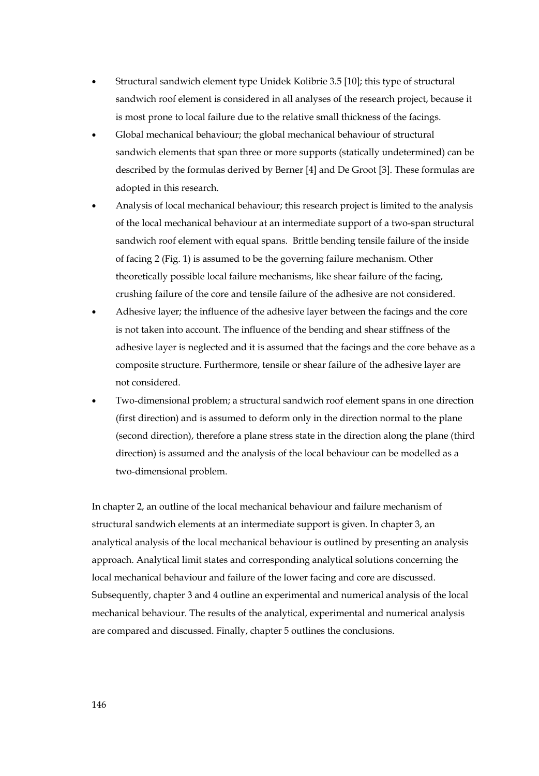- Structural sandwich element type Unidek Kolibrie 3.5 [10]; this type of structural sandwich roof element is considered in all analyses of the research project, because it is most prone to local failure due to the relative small thickness of the facings.
- Global mechanical behaviour; the global mechanical behaviour of structural sandwich elements that span three or more supports (statically undetermined) can be described by the formulas derived by Berner [4] and De Groot [3]. These formulas are adopted in this research.
- Analysis of local mechanical behaviour; this research project is limited to the analysis of the local mechanical behaviour at an intermediate support of a two-span structural sandwich roof element with equal spans. Brittle bending tensile failure of the inside of facing 2 (Fig. 1) is assumed to be the governing failure mechanism. Other theoretically possible local failure mechanisms, like shear failure of the facing, crushing failure of the core and tensile failure of the adhesive are not considered.
- Adhesive layer; the influence of the adhesive layer between the facings and the core is not taken into account. The influence of the bending and shear stiffness of the adhesive layer is neglected and it is assumed that the facings and the core behave as a composite structure. Furthermore, tensile or shear failure of the adhesive layer are not considered.
- Two-dimensional problem; a structural sandwich roof element spans in one direction (first direction) and is assumed to deform only in the direction normal to the plane (second direction), therefore a plane stress state in the direction along the plane (third direction) is assumed and the analysis of the local behaviour can be modelled as a two-dimensional problem.

In chapter 2, an outline of the local mechanical behaviour and failure mechanism of structural sandwich elements at an intermediate support is given. In chapter 3, an analytical analysis of the local mechanical behaviour is outlined by presenting an analysis approach. Analytical limit states and corresponding analytical solutions concerning the local mechanical behaviour and failure of the lower facing and core are discussed. Subsequently, chapter 3 and 4 outline an experimental and numerical analysis of the local mechanical behaviour. The results of the analytical, experimental and numerical analysis are compared and discussed. Finally, chapter 5 outlines the conclusions.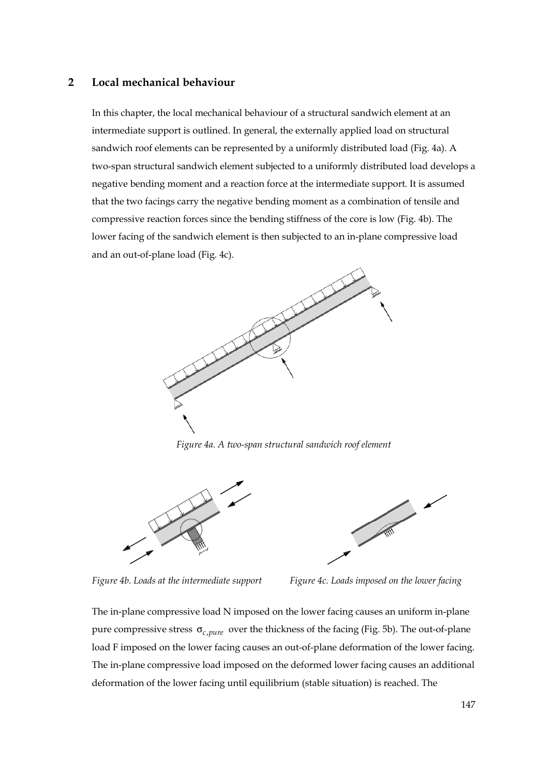## **2 Local mechanical behaviour**

In this chapter, the local mechanical behaviour of a structural sandwich element at an intermediate support is outlined. In general, the externally applied load on structural sandwich roof elements can be represented by a uniformly distributed load (Fig. 4a). A two-span structural sandwich element subjected to a uniformly distributed load develops a negative bending moment and a reaction force at the intermediate support. It is assumed that the two facings carry the negative bending moment as a combination of tensile and compressive reaction forces since the bending stiffness of the core is low (Fig. 4b). The lower facing of the sandwich element is then subjected to an in-plane compressive load and an out-of-plane load (Fig. 4c).



*Figure 4a. A two-span structural sandwich roof element* 



![](_page_4_Figure_5.jpeg)

*Figure 4b. Loads at the intermediate support Figure 4c. Loads imposed on the lower facing* 

The in-plane compressive load N imposed on the lower facing causes an uniform in-plane pure compressive stress  $\sigma_{c,pure}$  over the thickness of the facing (Fig. 5b). The out-of-plane load F imposed on the lower facing causes an out-of-plane deformation of the lower facing. The in-plane compressive load imposed on the deformed lower facing causes an additional deformation of the lower facing until equilibrium (stable situation) is reached. The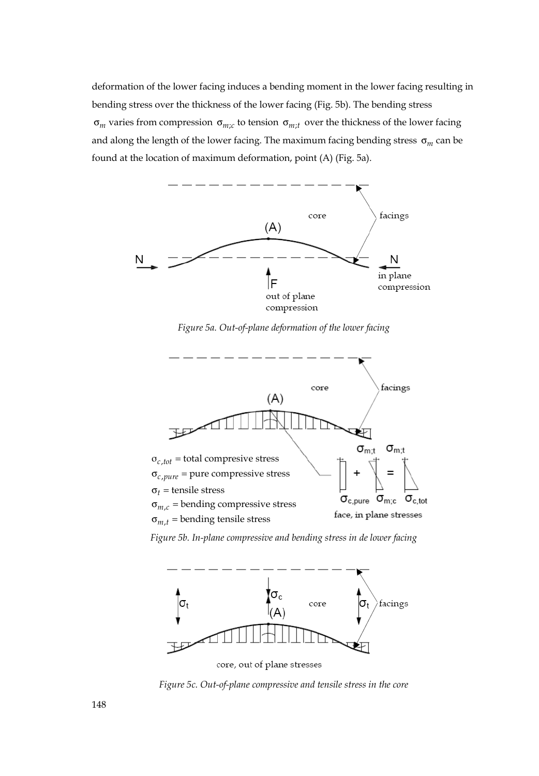deformation of the lower facing induces a bending moment in the lower facing resulting in bending stress over the thickness of the lower facing (Fig. 5b). The bending stress  $\sigma_m$  varies from compression  $\sigma_{m;c}$  to tension  $\sigma_{m;t}$  over the thickness of the lower facing and along the length of the lower facing. The maximum facing bending stress σ*<sup>m</sup>* can be found at the location of maximum deformation, point (A) (Fig. 5a).

![](_page_5_Figure_1.jpeg)

*Figure 5a. Out-of-plane deformation of the lower facing* 

![](_page_5_Figure_3.jpeg)

*Figure 5b. In-plane compressive and bending stress in de lower facing* 

![](_page_5_Figure_5.jpeg)

core, out of plane stresses

*Figure 5c. Out-of-plane compressive and tensile stress in the core*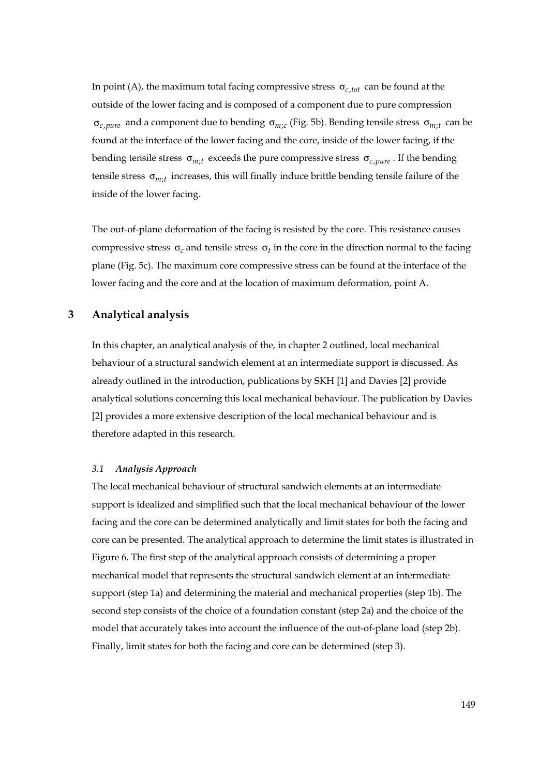In point (A), the maximum total facing compressive stress  $\sigma_{c,tot}$  can be found at the outside of the lower facing and is composed of a component due to pure compression σ<sub>*c mure* and a component due to bending σ<sub>*mc*</sub> (Fig. 5b). Bending tensile stress σ<sub>*mt*</sub>; can be</sub> found at the interface of the lower facing and the core, inside of the lower facing, if the bending tensile stress  $\sigma_{m:t}$  exceeds the pure compressive stress  $\sigma_{c,pure}$ . If the bending tensile stress  $\sigma_{m}$ ; increases, this will finally induce brittle bending tensile failure of the inside of the lower facing.

The out-of-plane deformation of the facing is resisted by the core. This resistance causes compressive stress  $\sigma_c$  and tensile stress  $\sigma_t$  in the core in the direction normal to the facing plane (Fig. 5c). The maximum core compressive stress can be found at the interface of the lower facing and the core and at the location of maximum deformation, point A.

## **3 Analytical analysis**

In this chapter, an analytical analysis of the, in chapter 2 outlined, local mechanical behaviour of a structural sandwich element at an intermediate support is discussed. As already outlined in the introduction, publications by SKH [1] and Davies [2] provide analytical solutions concerning this local mechanical behaviour. The publication by Davies [2] provides a more extensive description of the local mechanical behaviour and is therefore adapted in this research.

### *3.1 Analysis Approach*

The local mechanical behaviour of structural sandwich elements at an intermediate support is idealized and simplified such that the local mechanical behaviour of the lower facing and the core can be determined analytically and limit states for both the facing and core can be presented. The analytical approach to determine the limit states is illustrated in Figure 6. The first step of the analytical approach consists of determining a proper mechanical model that represents the structural sandwich element at an intermediate support (step 1a) and determining the material and mechanical properties (step 1b). The second step consists of the choice of a foundation constant (step 2a) and the choice of the model that accurately takes into account the influence of the out-of-plane load (step 2b). Finally, limit states for both the facing and core can be determined (step 3).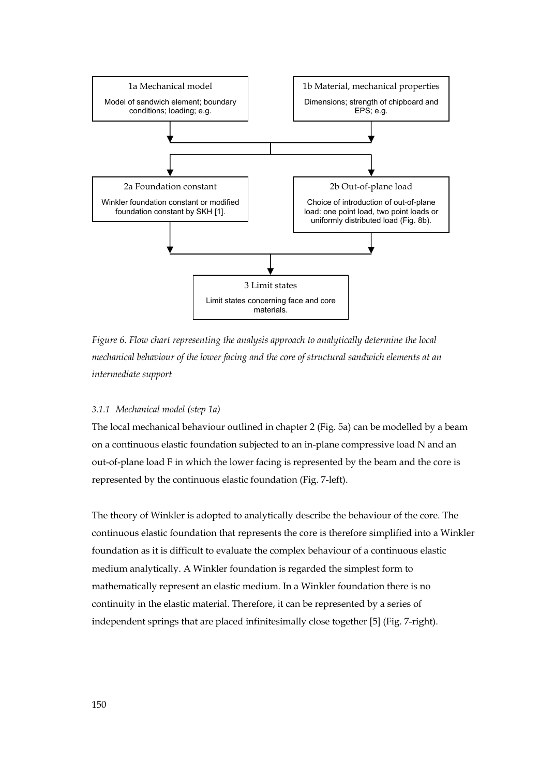![](_page_7_Figure_0.jpeg)

*Figure 6. Flow chart representing the analysis approach to analytically determine the local mechanical behaviour of the lower facing and the core of structural sandwich elements at an intermediate support* 

## *3.1.1 Mechanical model (step 1a)*

The local mechanical behaviour outlined in chapter 2 (Fig. 5a) can be modelled by a beam on a continuous elastic foundation subjected to an in-plane compressive load N and an out-of-plane load F in which the lower facing is represented by the beam and the core is represented by the continuous elastic foundation (Fig. 7-left).

The theory of Winkler is adopted to analytically describe the behaviour of the core. The continuous elastic foundation that represents the core is therefore simplified into a Winkler foundation as it is difficult to evaluate the complex behaviour of a continuous elastic medium analytically. A Winkler foundation is regarded the simplest form to mathematically represent an elastic medium. In a Winkler foundation there is no continuity in the elastic material. Therefore, it can be represented by a series of independent springs that are placed infinitesimally close together [5] (Fig. 7-right).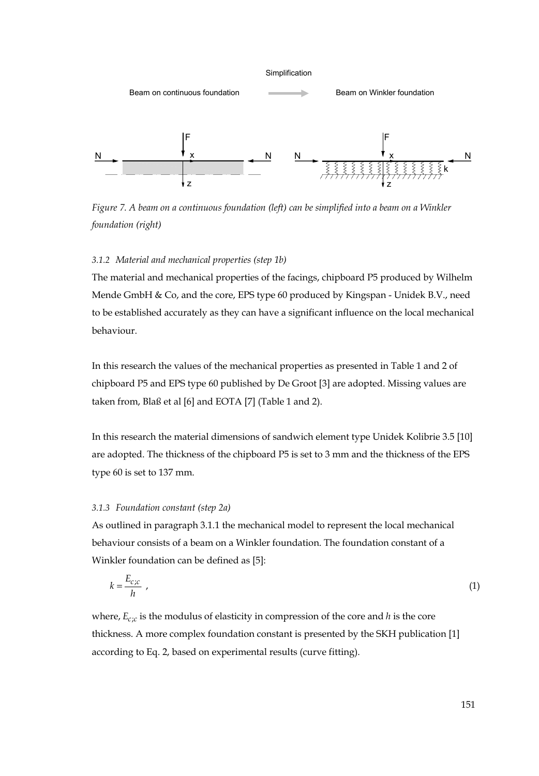![](_page_8_Figure_0.jpeg)

*Figure 7. A beam on a continuous foundation (left) can be simplified into a beam on a Winkler foundation (right)* 

# *3.1.2 Material and mechanical properties (step 1b)*

The material and mechanical properties of the facings, chipboard P5 produced by Wilhelm Mende GmbH & Co, and the core, EPS type 60 produced by Kingspan - Unidek B.V., need to be established accurately as they can have a significant influence on the local mechanical behaviour.

In this research the values of the mechanical properties as presented in Table 1 and 2 of chipboard P5 and EPS type 60 published by De Groot [3] are adopted. Missing values are taken from, Blaß et al [6] and EOTA [7] (Table 1 and 2).

In this research the material dimensions of sandwich element type Unidek Kolibrie 3.5 [10] are adopted. The thickness of the chipboard P5 is set to 3 mm and the thickness of the EPS type 60 is set to 137 mm.

## *3.1.3 Foundation constant (step 2a)*

As outlined in paragraph 3.1.1 the mechanical model to represent the local mechanical behaviour consists of a beam on a Winkler foundation. The foundation constant of a Winkler foundation can be defined as [5]:

$$
k = \frac{E_{c;c}}{h} \tag{1}
$$

where,  $E_{c,c}$  is the modulus of elasticity in compression of the core and  $h$  is the core thickness. A more complex foundation constant is presented by the SKH publication [1] according to Eq. 2, based on experimental results (curve fitting).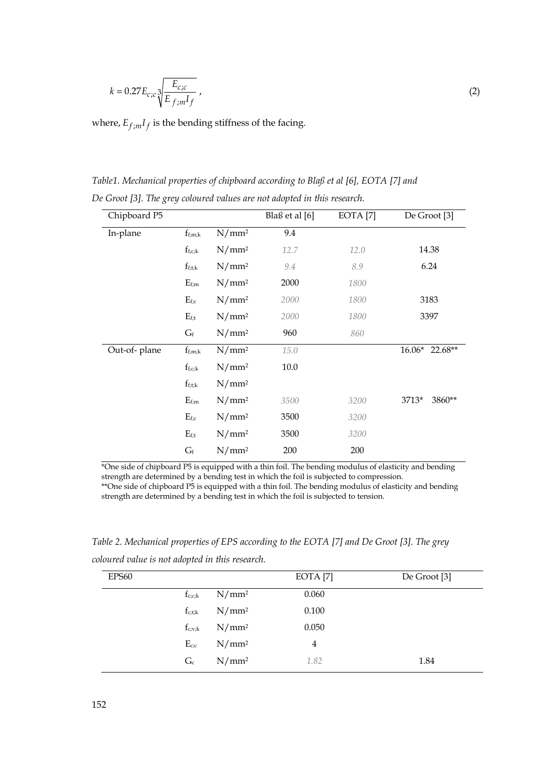$$
k = 0.27 E_{c;c} \sqrt[3]{\frac{E_{c;c}}{E_{f,m} I_f}},
$$
\n(2)

where,  $E_{f,m}I_f$  is the bending stiffness of the facing.

*Table1. Mechanical properties of chipboard according to Blaß et al [6], EOTA [7] and De Groot [3]. The grey coloured values are not adopted in this research.*

| Chipboard P5 |                                |                   | Blaß et al [6] | EOTA <sup>[7]</sup> | De Groot <sup>[3]</sup> |
|--------------|--------------------------------|-------------------|----------------|---------------------|-------------------------|
| In-plane     | $f_{f;m;k}$                    | N/mm <sup>2</sup> | 9.4            |                     |                         |
|              | $f_{f;c;k}$                    | N/mm <sup>2</sup> | 12.7           | 12.0                | 14.38                   |
|              | $f_{f;t;k}$                    | N/mm <sup>2</sup> | 9.4            | 8.9                 | 6.24                    |
|              | $E_{f;m}$                      | N/mm <sup>2</sup> | 2000           | 1800                |                         |
|              | $E_{f;c}$<br>N/mm <sup>2</sup> |                   | 2000           | 1800                | 3183                    |
|              | $E_{f;t}$                      | N/mm <sup>2</sup> | 2000           | 1800                | 3397                    |
|              | $G_f$                          | N/mm <sup>2</sup> | 960            | 860                 |                         |
| Out-of-plane | $f_{f;m;k}$                    | N/mm <sup>2</sup> | 15.0           |                     | 16.06* 22.68**          |
|              | $f_{f;c;k}$                    | N/mm <sup>2</sup> | 10.0           |                     |                         |
|              | $f_{f;t;k}$                    | N/mm <sup>2</sup> |                |                     |                         |
|              | $E_{f;m}$                      | N/mm <sup>2</sup> | 3500           | 3200                | 3713*<br>3860**         |
|              | $E_{f;c}$                      | N/mm <sup>2</sup> | 3500           | 3200                |                         |
|              | $E_{\rm f;t}$                  | N/mm <sup>2</sup> | 3500           | 3200                |                         |
|              | $G_f$                          | N/mm <sup>2</sup> | 200            | 200                 |                         |

\*One side of chipboard P5 is equipped with a thin foil. The bending modulus of elasticity and bending strength are determined by a bending test in which the foil is subjected to compression. \*\*One side of chipboard P5 is equipped with a thin foil. The bending modulus of elasticity and bending strength are determined by a bending test in which the foil is subjected to tension.

*Table 2. Mechanical properties of EPS according to the EOTA [7] and De Groot [3]. The grey coloured value is not adopted in this research.* 

| EPS60 |             |                   | EOTA [7] | De Groot [3] |
|-------|-------------|-------------------|----------|--------------|
|       | $f_{c;c;k}$ | N/mm <sup>2</sup> | 0.060    |              |
|       | $f_{c,t;k}$ | N/mm <sup>2</sup> | 0.100    |              |
|       | $f_{c,v;k}$ | $N/mm^2$          | 0.050    |              |
|       | $E_{c,c}$   | $N/mm^2$          | 4        |              |
|       | $G_c$       | N/mm <sup>2</sup> | 1.82     | 1.84         |
|       |             |                   |          |              |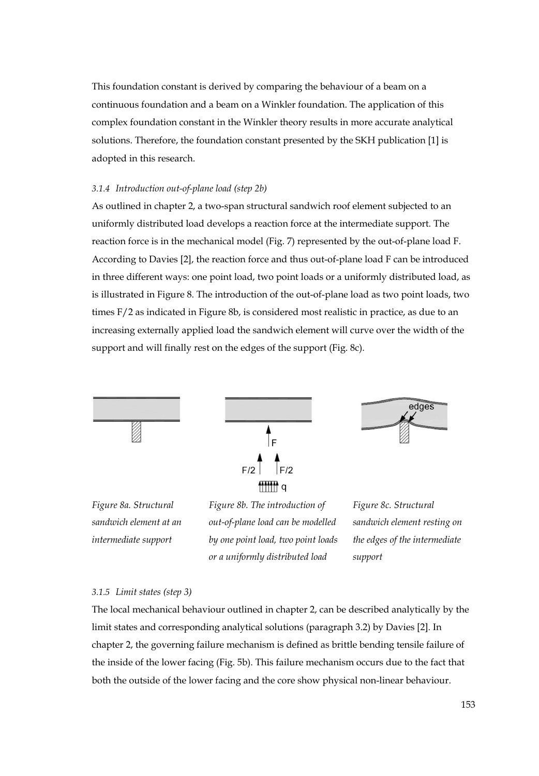This foundation constant is derived by comparing the behaviour of a beam on a continuous foundation and a beam on a Winkler foundation. The application of this complex foundation constant in the Winkler theory results in more accurate analytical solutions. Therefore, the foundation constant presented by the SKH publication [1] is adopted in this research.

#### *3.1.4 Introduction out-of-plane load (step 2b)*

As outlined in chapter 2, a two-span structural sandwich roof element subjected to an uniformly distributed load develops a reaction force at the intermediate support. The reaction force is in the mechanical model (Fig. 7) represented by the out-of-plane load F. According to Davies [2], the reaction force and thus out-of-plane load F can be introduced in three different ways: one point load, two point loads or a uniformly distributed load, as is illustrated in Figure 8. The introduction of the out-of-plane load as two point loads, two times F/2 as indicated in Figure 8b, is considered most realistic in practice, as due to an increasing externally applied load the sandwich element will curve over the width of the support and will finally rest on the edges of the support (Fig. 8c).

![](_page_10_Figure_3.jpeg)

#### *3.1.5 Limit states (step 3)*

The local mechanical behaviour outlined in chapter 2, can be described analytically by the limit states and corresponding analytical solutions (paragraph 3.2) by Davies [2]. In chapter 2, the governing failure mechanism is defined as brittle bending tensile failure of the inside of the lower facing (Fig. 5b). This failure mechanism occurs due to the fact that both the outside of the lower facing and the core show physical non-linear behaviour.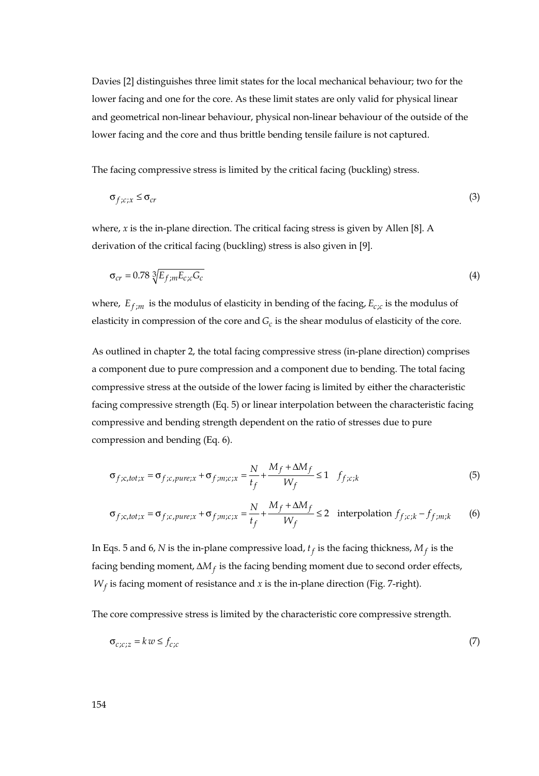Davies [2] distinguishes three limit states for the local mechanical behaviour; two for the lower facing and one for the core. As these limit states are only valid for physical linear and geometrical non-linear behaviour, physical non-linear behaviour of the outside of the lower facing and the core and thus brittle bending tensile failure is not captured.

The facing compressive stress is limited by the critical facing (buckling) stress.

$$
\sigma_{f;c;x} \leq \sigma_{cr} \tag{3}
$$

where, *x* is the in-plane direction. The critical facing stress is given by Allen [8]. A derivation of the critical facing (buckling) stress is also given in [9].

$$
\sigma_{cr} = 0.78 \sqrt[3]{E_{f;m}E_{c;c}G_c}
$$
\n(4)

where,  $E_{f,m}$  is the modulus of elasticity in bending of the facing,  $E_{c,c}$  is the modulus of elasticity in compression of the core and  $G_c$  is the shear modulus of elasticity of the core.

As outlined in chapter 2, the total facing compressive stress (in-plane direction) comprises a component due to pure compression and a component due to bending. The total facing compressive stress at the outside of the lower facing is limited by either the characteristic facing compressive strength (Eq. 5) or linear interpolation between the characteristic facing compressive and bending strength dependent on the ratio of stresses due to pure compression and bending (Eq. 6).

$$
\sigma_{f;c,tot;x} = \sigma_{f;c,pure;x} + \sigma_{f;m;c;x} = \frac{N}{t_f} + \frac{M_f + \Delta M_f}{W_f} \le 1 \quad f_{f;c;k}
$$
\n(5)

$$
\sigma_{f;c,tot;x} = \sigma_{f;c,pure;x} + \sigma_{f;m;c;x} = \frac{N}{t_f} + \frac{M_f + \Delta M_f}{W_f} \le 2 \quad \text{interpolation } f_{f;c;k} - f_{f;m;k} \tag{6}
$$

In Eqs. 5 and 6, *N* is the in-plane compressive load,  $t_f$  is the facing thickness,  $M_f$  is the facing bending moment,  $\Delta M_f$  is the facing bending moment due to second order effects,  $W_f$  is facing moment of resistance and *x* is the in-plane direction (Fig. 7-right).

The core compressive stress is limited by the characteristic core compressive strength.

$$
\sigma_{c;c;z} = k w \le f_{c;c} \tag{7}
$$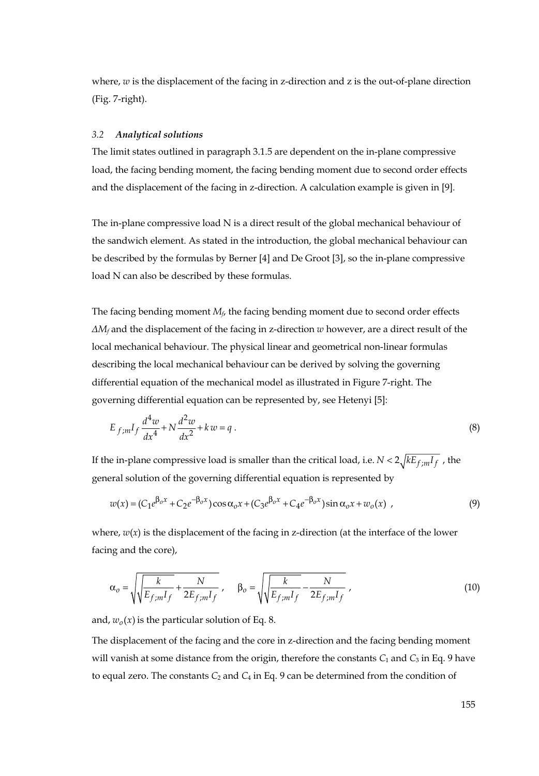where, *w* is the displacement of the facing in z-direction and *z* is the out-of-plane direction (Fig. 7-right).

#### *3.2 Analytical solutions*

The limit states outlined in paragraph 3.1.5 are dependent on the in-plane compressive load, the facing bending moment, the facing bending moment due to second order effects and the displacement of the facing in z-direction. A calculation example is given in [9].

The in-plane compressive load N is a direct result of the global mechanical behaviour of the sandwich element. As stated in the introduction, the global mechanical behaviour can be described by the formulas by Berner [4] and De Groot [3], so the in-plane compressive load N can also be described by these formulas.

The facing bending moment *Mf*, the facing bending moment due to second order effects *ΔMf* and the displacement of the facing in z-direction *w* however, are a direct result of the local mechanical behaviour. The physical linear and geometrical non-linear formulas describing the local mechanical behaviour can be derived by solving the governing differential equation of the mechanical model as illustrated in Figure 7-right. The governing differential equation can be represented by, see Hetenyi [5]:

$$
E_{f;m}I_f \frac{d^4 w}{dx^4} + N \frac{d^2 w}{dx^2} + kw = q.
$$
 (8)

If the in-plane compressive load is smaller than the critical load, i.e.  $N < 2\sqrt{kE_{f,m}I_f}$ , the general solution of the governing differential equation is represented by

$$
w(x) = (C_1 e^{\beta_0 x} + C_2 e^{-\beta_0 x}) \cos \alpha_0 x + (C_3 e^{\beta_0 x} + C_4 e^{-\beta_0 x}) \sin \alpha_0 x + w_0(x) ,
$$
\n(9)

where,  $w(x)$  is the displacement of the facing in z-direction (at the interface of the lower facing and the core),

$$
\alpha_o = \sqrt{\sqrt{\frac{k}{E_{f,m}I_f}} + \frac{N}{2E_{f,m}I_f}}, \quad \beta_o = \sqrt{\sqrt{\frac{k}{E_{f,m}I_f}} - \frac{N}{2E_{f,m}I_f}},
$$
(10)

and,  $w_0(x)$  is the particular solution of Eq. 8.

The displacement of the facing and the core in z-direction and the facing bending moment will vanish at some distance from the origin, therefore the constants  $C_1$  and  $C_3$  in Eq. 9 have to equal zero. The constants  $C_2$  and  $C_4$  in Eq. 9 can be determined from the condition of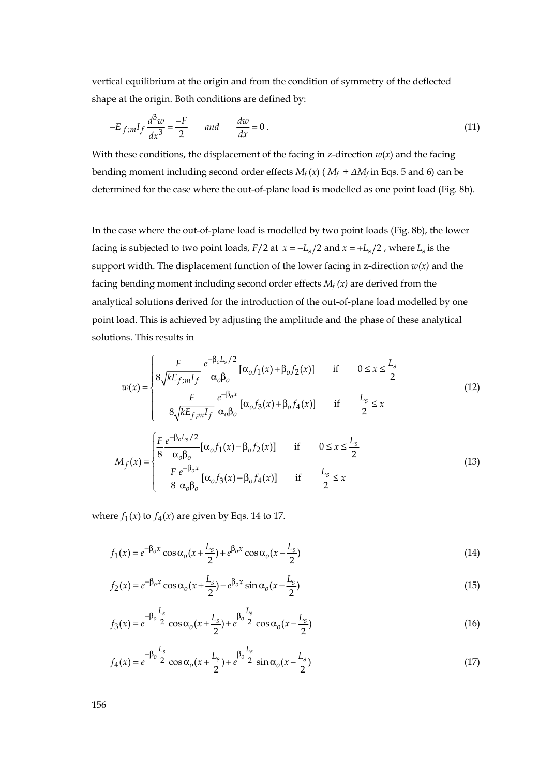vertical equilibrium at the origin and from the condition of symmetry of the deflected shape at the origin. Both conditions are defined by:

$$
-E_{f;m}I_f\frac{d^3w}{dx^3} = \frac{-F}{2} \qquad and \qquad \frac{dw}{dx} = 0.
$$
 (11)

With these conditions, the displacement of the facing in z-direction  $w(x)$  and the facing bending moment including second order effects  $M_f(x)$  ( $M_f + \Delta M_f$  in Eqs. 5 and 6) can be determined for the case where the out-of-plane load is modelled as one point load (Fig. 8b).

In the case where the out-of-plane load is modelled by two point loads (Fig. 8b), the lower facing is subjected to two point loads,  $F/2$  at  $x = -L_s/2$  and  $x = +L_s/2$ , where  $L_s$  is the support width. The displacement function of the lower facing in z-direction  $w(x)$  and the facing bending moment including second order effects  $M_f(x)$  are derived from the analytical solutions derived for the introduction of the out-of-plane load modelled by one point load. This is achieved by adjusting the amplitude and the phase of these analytical solutions. This results in

$$
w(x) = \begin{cases} \frac{F}{8\sqrt{kE_{f,m}I_{f}}} \frac{e^{-\beta_{o}L_{s}/2}}{\alpha_{o}\beta_{o}} [\alpha_{o}f_{1}(x) + \beta_{o}f_{2}(x)] & \text{if} & 0 \leq x \leq \frac{L_{s}}{2} \\ \frac{F}{8\sqrt{kE_{f,m}I_{f}}} \frac{e^{-\beta_{o}x}}{\alpha_{o}\beta_{o}} [\alpha_{o}f_{3}(x) + \beta_{o}f_{4}(x)] & \text{if} & \frac{L_{s}}{2} \leq x \end{cases}
$$
(12)

$$
M_f(x) = \begin{cases} \frac{F}{8} \frac{e^{-\beta_0 L_s/2}}{\alpha_0 \beta_0} [\alpha_0 f_1(x) - \beta_0 f_2(x)] & \text{if} & 0 \le x \le \frac{L_s}{2} \\ \frac{F}{8} \frac{e^{-\beta_0 x}}{\alpha_0 \beta_0} [\alpha_0 f_3(x) - \beta_0 f_4(x)] & \text{if} & \frac{L_s}{2} \le x \end{cases}
$$
(13)

where  $f_1(x)$  to  $f_4(x)$  are given by Eqs. 14 to 17.

$$
f_1(x) = e^{-\beta_0 x} \cos \alpha_0 (x + \frac{L_s}{2}) + e^{\beta_0 x} \cos \alpha_0 (x - \frac{L_s}{2})
$$
\n(14)

$$
f_2(x) = e^{-\beta_0 x} \cos \alpha_0 (x + \frac{L_s}{2}) - e^{\beta_0 x} \sin \alpha_0 (x - \frac{L_s}{2})
$$
\n
$$
(15)
$$

$$
f_3(x) = e^{-\beta_0 \frac{L_s}{2}} \cos \alpha_0 (x + \frac{L_s}{2}) + e^{\beta_0 \frac{L_s}{2}} \cos \alpha_0 (x - \frac{L_s}{2})
$$
\n(16)

$$
f_4(x) = e^{-\beta_0 \frac{L_s}{2}} \cos \alpha_0 (x + \frac{L_s}{2}) + e^{\beta_0 \frac{L_s}{2}} \sin \alpha_0 (x - \frac{L_s}{2})
$$
\n(17)

156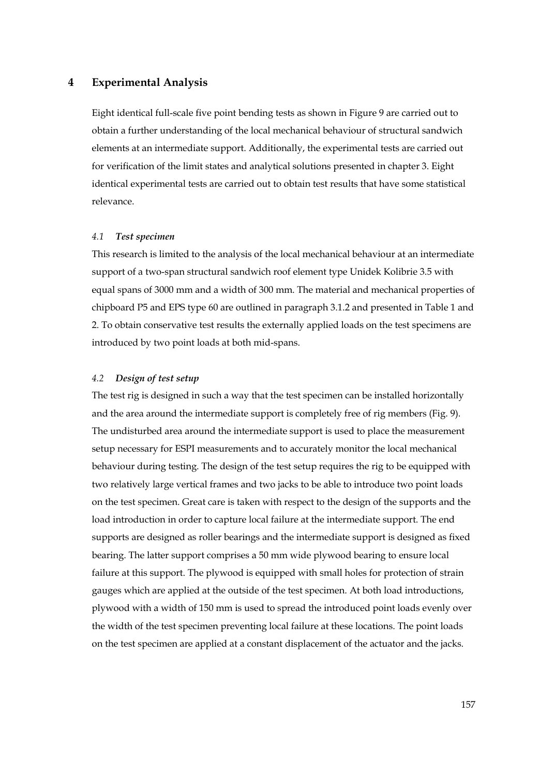## **4 Experimental Analysis**

Eight identical full-scale five point bending tests as shown in Figure 9 are carried out to obtain a further understanding of the local mechanical behaviour of structural sandwich elements at an intermediate support. Additionally, the experimental tests are carried out for verification of the limit states and analytical solutions presented in chapter 3. Eight identical experimental tests are carried out to obtain test results that have some statistical relevance.

#### *4.1 Test specimen*

This research is limited to the analysis of the local mechanical behaviour at an intermediate support of a two-span structural sandwich roof element type Unidek Kolibrie 3.5 with equal spans of 3000 mm and a width of 300 mm. The material and mechanical properties of chipboard P5 and EPS type 60 are outlined in paragraph 3.1.2 and presented in Table 1 and 2. To obtain conservative test results the externally applied loads on the test specimens are introduced by two point loads at both mid-spans.

## *4.2 Design of test setup*

The test rig is designed in such a way that the test specimen can be installed horizontally and the area around the intermediate support is completely free of rig members (Fig. 9). The undisturbed area around the intermediate support is used to place the measurement setup necessary for ESPI measurements and to accurately monitor the local mechanical behaviour during testing. The design of the test setup requires the rig to be equipped with two relatively large vertical frames and two jacks to be able to introduce two point loads on the test specimen. Great care is taken with respect to the design of the supports and the load introduction in order to capture local failure at the intermediate support. The end supports are designed as roller bearings and the intermediate support is designed as fixed bearing. The latter support comprises a 50 mm wide plywood bearing to ensure local failure at this support. The plywood is equipped with small holes for protection of strain gauges which are applied at the outside of the test specimen. At both load introductions, plywood with a width of 150 mm is used to spread the introduced point loads evenly over the width of the test specimen preventing local failure at these locations. The point loads on the test specimen are applied at a constant displacement of the actuator and the jacks.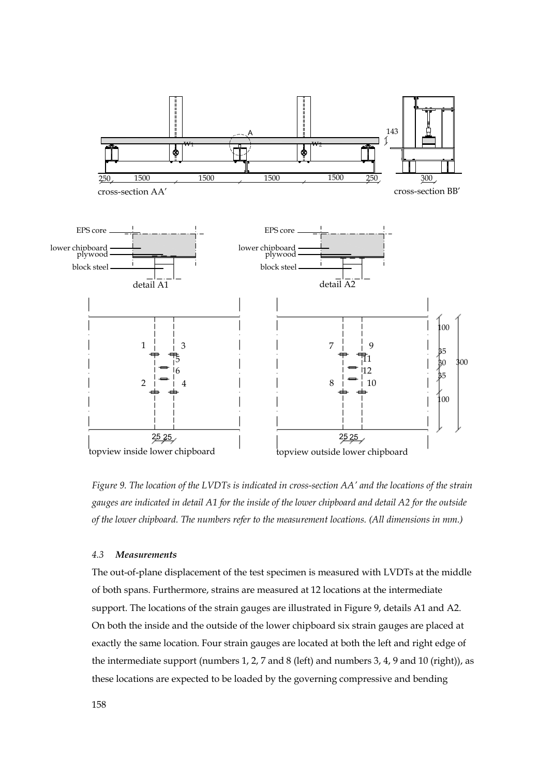![](_page_15_Figure_0.jpeg)

*Figure 9. The location of the LVDTs is indicated in cross-section AA' and the locations of the strain gauges are indicated in detail A1 for the inside of the lower chipboard and detail A2 for the outside of the lower chipboard. The numbers refer to the measurement locations. (All dimensions in mm.)* 

## *4.3 Measurements*

The out-of-plane displacement of the test specimen is measured with LVDTs at the middle of both spans. Furthermore, strains are measured at 12 locations at the intermediate support. The locations of the strain gauges are illustrated in Figure 9, details A1 and A2. On both the inside and the outside of the lower chipboard six strain gauges are placed at exactly the same location. Four strain gauges are located at both the left and right edge of the intermediate support (numbers 1, 2, 7 and 8 (left) and numbers 3, 4, 9 and 10 (right)), as these locations are expected to be loaded by the governing compressive and bending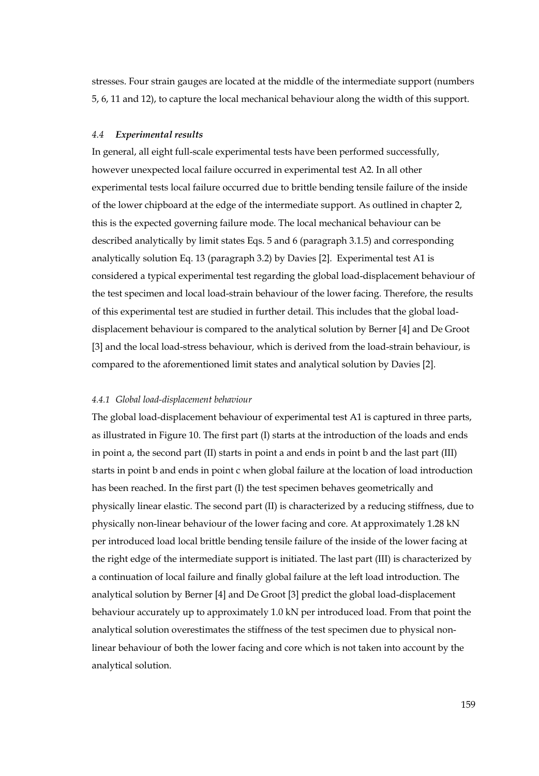stresses. Four strain gauges are located at the middle of the intermediate support (numbers 5, 6, 11 and 12), to capture the local mechanical behaviour along the width of this support.

#### *4.4 Experimental results*

In general, all eight full-scale experimental tests have been performed successfully, however unexpected local failure occurred in experimental test A2. In all other experimental tests local failure occurred due to brittle bending tensile failure of the inside of the lower chipboard at the edge of the intermediate support. As outlined in chapter 2, this is the expected governing failure mode. The local mechanical behaviour can be described analytically by limit states Eqs. 5 and 6 (paragraph 3.1.5) and corresponding analytically solution Eq. 13 (paragraph 3.2) by Davies [2]. Experimental test A1 is considered a typical experimental test regarding the global load-displacement behaviour of the test specimen and local load-strain behaviour of the lower facing. Therefore, the results of this experimental test are studied in further detail. This includes that the global loaddisplacement behaviour is compared to the analytical solution by Berner [4] and De Groot [3] and the local load-stress behaviour, which is derived from the load-strain behaviour, is compared to the aforementioned limit states and analytical solution by Davies [2].

#### *4.4.1 Global load-displacement behaviour*

The global load-displacement behaviour of experimental test A1 is captured in three parts, as illustrated in Figure 10. The first part (I) starts at the introduction of the loads and ends in point a, the second part (II) starts in point a and ends in point b and the last part (III) starts in point b and ends in point c when global failure at the location of load introduction has been reached. In the first part (I) the test specimen behaves geometrically and physically linear elastic. The second part (II) is characterized by a reducing stiffness, due to physically non-linear behaviour of the lower facing and core. At approximately 1.28 kN per introduced load local brittle bending tensile failure of the inside of the lower facing at the right edge of the intermediate support is initiated. The last part (III) is characterized by a continuation of local failure and finally global failure at the left load introduction. The analytical solution by Berner [4] and De Groot [3] predict the global load-displacement behaviour accurately up to approximately 1.0 kN per introduced load. From that point the analytical solution overestimates the stiffness of the test specimen due to physical nonlinear behaviour of both the lower facing and core which is not taken into account by the analytical solution.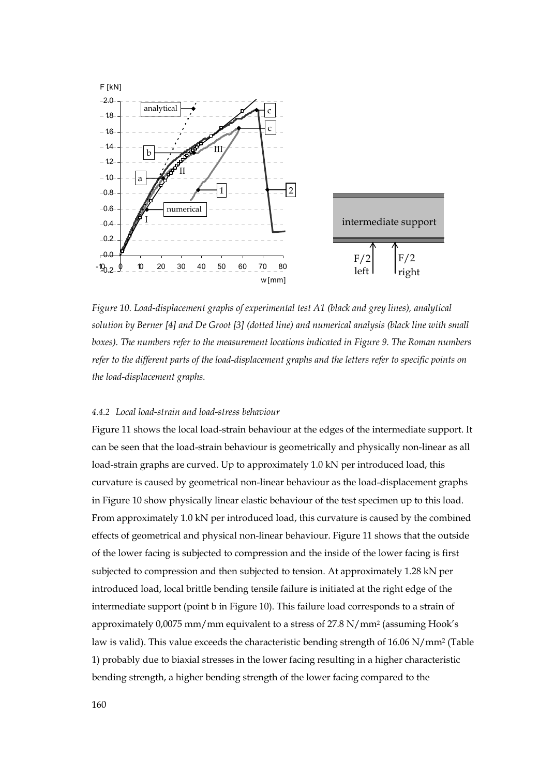![](_page_17_Figure_0.jpeg)

*Figure 10. Load-displacement graphs of experimental test A1 (black and grey lines), analytical solution by Berner [4] and De Groot [3] (dotted line) and numerical analysis (black line with small boxes). The numbers refer to the measurement locations indicated in Figure 9. The Roman numbers refer to the different parts of the load-displacement graphs and the letters refer to specific points on the load-displacement graphs.* 

# *4.4.2 Local load-strain and load-stress behaviour*

Figure 11 shows the local load-strain behaviour at the edges of the intermediate support. It can be seen that the load-strain behaviour is geometrically and physically non-linear as all load-strain graphs are curved. Up to approximately 1.0 kN per introduced load, this curvature is caused by geometrical non-linear behaviour as the load-displacement graphs in Figure 10 show physically linear elastic behaviour of the test specimen up to this load. From approximately 1.0 kN per introduced load, this curvature is caused by the combined effects of geometrical and physical non-linear behaviour. Figure 11 shows that the outside of the lower facing is subjected to compression and the inside of the lower facing is first subjected to compression and then subjected to tension. At approximately 1.28 kN per introduced load, local brittle bending tensile failure is initiated at the right edge of the intermediate support (point b in Figure 10). This failure load corresponds to a strain of approximately 0,0075 mm/mm equivalent to a stress of 27.8 N/mm2 (assuming Hook's law is valid). This value exceeds the characteristic bending strength of 16.06 N/mm2 (Table 1) probably due to biaxial stresses in the lower facing resulting in a higher characteristic bending strength, a higher bending strength of the lower facing compared to the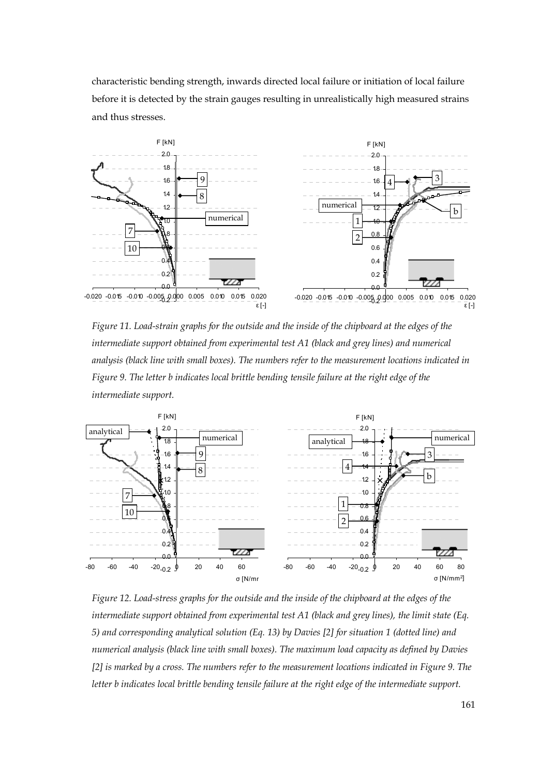characteristic bending strength, inwards directed local failure or initiation of local failure before it is detected by the strain gauges resulting in unrealistically high measured strains and thus stresses.

![](_page_18_Figure_1.jpeg)

*Figure 11. Load-strain graphs for the outside and the inside of the chipboard at the edges of the intermediate support obtained from experimental test A1 (black and grey lines) and numerical analysis (black line with small boxes). The numbers refer to the measurement locations indicated in Figure 9. The letter b indicates local brittle bending tensile failure at the right edge of the intermediate support.* 

![](_page_18_Figure_3.jpeg)

*Figure 12. Load-stress graphs for the outside and the inside of the chipboard at the edges of the intermediate support obtained from experimental test A1 (black and grey lines), the limit state (Eq. 5) and corresponding analytical solution (Eq. 13) by Davies [2] for situation 1 (dotted line) and numerical analysis (black line with small boxes). The maximum load capacity as defined by Davies [2] is marked by a cross. The numbers refer to the measurement locations indicated in Figure 9. The letter b indicates local brittle bending tensile failure at the right edge of the intermediate support.*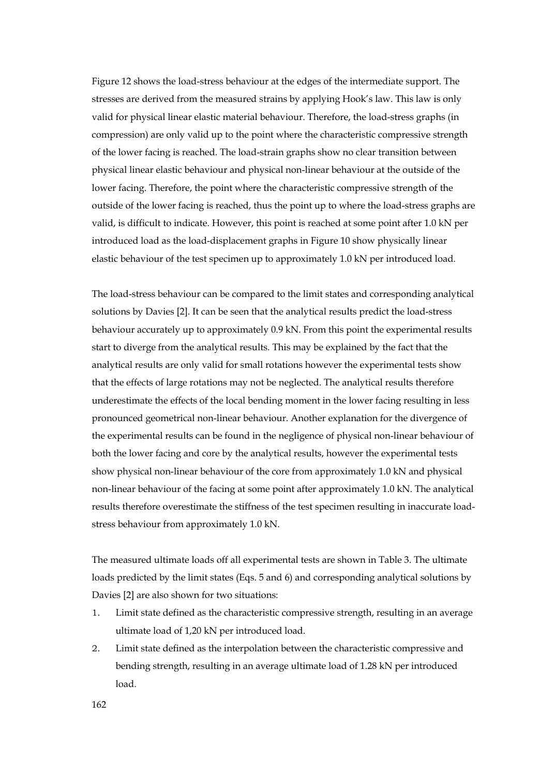Figure 12 shows the load-stress behaviour at the edges of the intermediate support. The stresses are derived from the measured strains by applying Hook's law. This law is only valid for physical linear elastic material behaviour. Therefore, the load-stress graphs (in compression) are only valid up to the point where the characteristic compressive strength of the lower facing is reached. The load-strain graphs show no clear transition between physical linear elastic behaviour and physical non-linear behaviour at the outside of the lower facing. Therefore, the point where the characteristic compressive strength of the outside of the lower facing is reached, thus the point up to where the load-stress graphs are valid, is difficult to indicate. However, this point is reached at some point after 1.0 kN per introduced load as the load-displacement graphs in Figure 10 show physically linear elastic behaviour of the test specimen up to approximately 1.0 kN per introduced load.

The load-stress behaviour can be compared to the limit states and corresponding analytical solutions by Davies [2]. It can be seen that the analytical results predict the load-stress behaviour accurately up to approximately 0.9 kN. From this point the experimental results start to diverge from the analytical results. This may be explained by the fact that the analytical results are only valid for small rotations however the experimental tests show that the effects of large rotations may not be neglected. The analytical results therefore underestimate the effects of the local bending moment in the lower facing resulting in less pronounced geometrical non-linear behaviour. Another explanation for the divergence of the experimental results can be found in the negligence of physical non-linear behaviour of both the lower facing and core by the analytical results, however the experimental tests show physical non-linear behaviour of the core from approximately 1.0 kN and physical non-linear behaviour of the facing at some point after approximately 1.0 kN. The analytical results therefore overestimate the stiffness of the test specimen resulting in inaccurate loadstress behaviour from approximately 1.0 kN.

The measured ultimate loads off all experimental tests are shown in Table 3. The ultimate loads predicted by the limit states (Eqs. 5 and 6) and corresponding analytical solutions by Davies [2] are also shown for two situations:

- 1. Limit state defined as the characteristic compressive strength, resulting in an average ultimate load of 1,20 kN per introduced load.
- 2. Limit state defined as the interpolation between the characteristic compressive and bending strength, resulting in an average ultimate load of 1.28 kN per introduced load.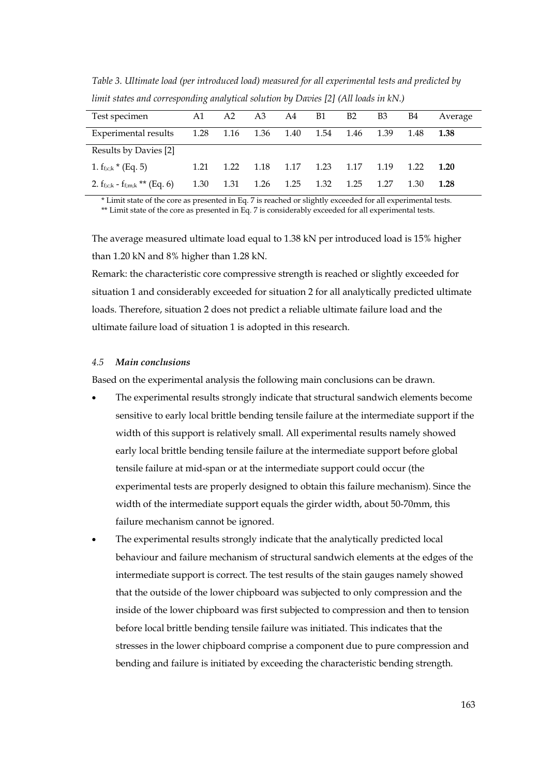| Test specimen                           | A1   |                     |      | A2 A3 A4 B1 |           | B2   | B3   | <b>B4</b> | Average |
|-----------------------------------------|------|---------------------|------|-------------|-----------|------|------|-----------|---------|
| Experimental results                    |      | 1.28 1.16 1.36 1.40 |      |             | 1.54      | 1.46 | 1.39 | 1.48      | 1.38    |
| Results by Davies [2]                   |      |                     |      |             |           |      |      |           |         |
| 1. $f_{f;c;k}$ * (Eq. 5)                | 1.21 | 1.22                | 1.18 | 1.17        | 1.23 1.17 |      | 1.19 | 1.22      | 1.20    |
| 2. $f_{f,c;k}$ - $f_{f;m;k}$ ** (Eq. 6) | 1.30 | 1.31                | 1.26 | 1.25        | 1.32      | 1.25 | 1.27 | 1.30      | 1.28    |

*Table 3. Ultimate load (per introduced load) measured for all experimental tests and predicted by limit states and corresponding analytical solution by Davies [2] (All loads in kN.)* 

\* Limit state of the core as presented in Eq. 7 is reached or slightly exceeded for all experimental tests. \*\* Limit state of the core as presented in Eq. 7 is considerably exceeded for all experimental tests.

The average measured ultimate load equal to 1.38 kN per introduced load is 15% higher than 1.20 kN and 8% higher than 1.28 kN.

Remark: the characteristic core compressive strength is reached or slightly exceeded for situation 1 and considerably exceeded for situation 2 for all analytically predicted ultimate loads. Therefore, situation 2 does not predict a reliable ultimate failure load and the ultimate failure load of situation 1 is adopted in this research.

#### *4.5 Main conclusions*

Based on the experimental analysis the following main conclusions can be drawn.

- The experimental results strongly indicate that structural sandwich elements become sensitive to early local brittle bending tensile failure at the intermediate support if the width of this support is relatively small. All experimental results namely showed early local brittle bending tensile failure at the intermediate support before global tensile failure at mid-span or at the intermediate support could occur (the experimental tests are properly designed to obtain this failure mechanism). Since the width of the intermediate support equals the girder width, about 50-70mm, this failure mechanism cannot be ignored.
- The experimental results strongly indicate that the analytically predicted local behaviour and failure mechanism of structural sandwich elements at the edges of the intermediate support is correct. The test results of the stain gauges namely showed that the outside of the lower chipboard was subjected to only compression and the inside of the lower chipboard was first subjected to compression and then to tension before local brittle bending tensile failure was initiated. This indicates that the stresses in the lower chipboard comprise a component due to pure compression and bending and failure is initiated by exceeding the characteristic bending strength.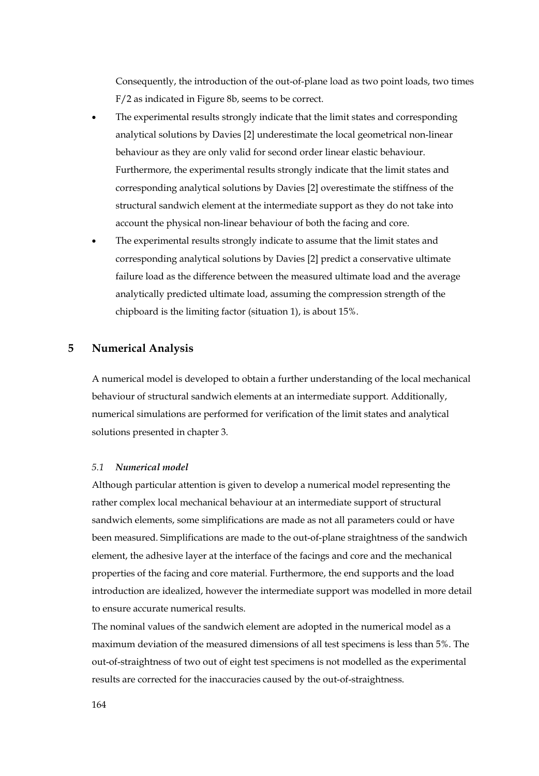Consequently, the introduction of the out-of-plane load as two point loads, two times F/2 as indicated in Figure 8b, seems to be correct.

- The experimental results strongly indicate that the limit states and corresponding analytical solutions by Davies [2] underestimate the local geometrical non-linear behaviour as they are only valid for second order linear elastic behaviour. Furthermore, the experimental results strongly indicate that the limit states and corresponding analytical solutions by Davies [2] overestimate the stiffness of the structural sandwich element at the intermediate support as they do not take into account the physical non-linear behaviour of both the facing and core.
- The experimental results strongly indicate to assume that the limit states and corresponding analytical solutions by Davies [2] predict a conservative ultimate failure load as the difference between the measured ultimate load and the average analytically predicted ultimate load, assuming the compression strength of the chipboard is the limiting factor (situation 1), is about 15%.

# **5 Numerical Analysis**

A numerical model is developed to obtain a further understanding of the local mechanical behaviour of structural sandwich elements at an intermediate support. Additionally, numerical simulations are performed for verification of the limit states and analytical solutions presented in chapter 3.

## *5.1 Numerical model*

Although particular attention is given to develop a numerical model representing the rather complex local mechanical behaviour at an intermediate support of structural sandwich elements, some simplifications are made as not all parameters could or have been measured. Simplifications are made to the out-of-plane straightness of the sandwich element, the adhesive layer at the interface of the facings and core and the mechanical properties of the facing and core material. Furthermore, the end supports and the load introduction are idealized, however the intermediate support was modelled in more detail to ensure accurate numerical results.

The nominal values of the sandwich element are adopted in the numerical model as a maximum deviation of the measured dimensions of all test specimens is less than 5%. The out-of-straightness of two out of eight test specimens is not modelled as the experimental results are corrected for the inaccuracies caused by the out-of-straightness.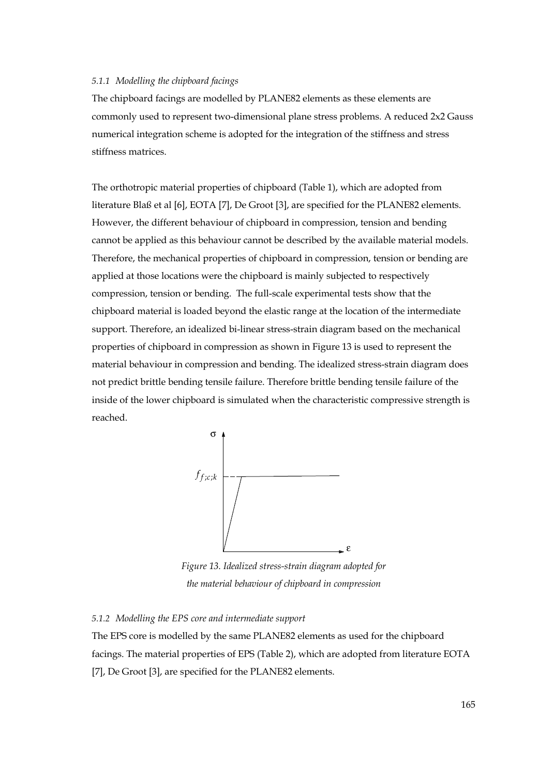## *5.1.1 Modelling the chipboard facings*

The chipboard facings are modelled by PLANE82 elements as these elements are commonly used to represent two-dimensional plane stress problems. A reduced 2x2 Gauss numerical integration scheme is adopted for the integration of the stiffness and stress stiffness matrices.

The orthotropic material properties of chipboard (Table 1), which are adopted from literature Blaß et al [6], EOTA [7], De Groot [3], are specified for the PLANE82 elements. However, the different behaviour of chipboard in compression, tension and bending cannot be applied as this behaviour cannot be described by the available material models. Therefore, the mechanical properties of chipboard in compression, tension or bending are applied at those locations were the chipboard is mainly subjected to respectively compression, tension or bending. The full-scale experimental tests show that the chipboard material is loaded beyond the elastic range at the location of the intermediate support. Therefore, an idealized bi-linear stress-strain diagram based on the mechanical properties of chipboard in compression as shown in Figure 13 is used to represent the material behaviour in compression and bending. The idealized stress-strain diagram does not predict brittle bending tensile failure. Therefore brittle bending tensile failure of the inside of the lower chipboard is simulated when the characteristic compressive strength is reached.

![](_page_22_Figure_3.jpeg)

*Figure 13. Idealized stress-strain diagram adopted for the material behaviour of chipboard in compression* 

## *5.1.2 Modelling the EPS core and intermediate support*

The EPS core is modelled by the same PLANE82 elements as used for the chipboard facings. The material properties of EPS (Table 2), which are adopted from literature EOTA [7], De Groot [3], are specified for the PLANE82 elements.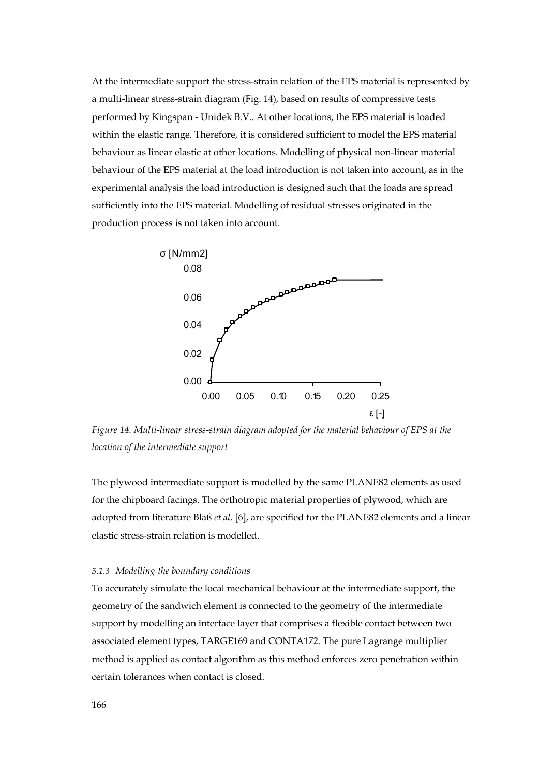At the intermediate support the stress-strain relation of the EPS material is represented by a multi-linear stress-strain diagram (Fig. 14), based on results of compressive tests performed by Kingspan - Unidek B.V.. At other locations, the EPS material is loaded within the elastic range. Therefore, it is considered sufficient to model the EPS material behaviour as linear elastic at other locations. Modelling of physical non-linear material behaviour of the EPS material at the load introduction is not taken into account, as in the experimental analysis the load introduction is designed such that the loads are spread sufficiently into the EPS material. Modelling of residual stresses originated in the production process is not taken into account.

![](_page_23_Figure_1.jpeg)

*Figure 14. Multi-linear stress-strain diagram adopted for the material behaviour of EPS at the location of the intermediate support* 

The plywood intermediate support is modelled by the same PLANE82 elements as used for the chipboard facings. The orthotropic material properties of plywood, which are adopted from literature Blaß *et al*. [6], are specified for the PLANE82 elements and a linear elastic stress-strain relation is modelled.

#### *5.1.3 Modelling the boundary conditions*

To accurately simulate the local mechanical behaviour at the intermediate support, the geometry of the sandwich element is connected to the geometry of the intermediate support by modelling an interface layer that comprises a flexible contact between two associated element types, TARGE169 and CONTA172. The pure Lagrange multiplier method is applied as contact algorithm as this method enforces zero penetration within certain tolerances when contact is closed.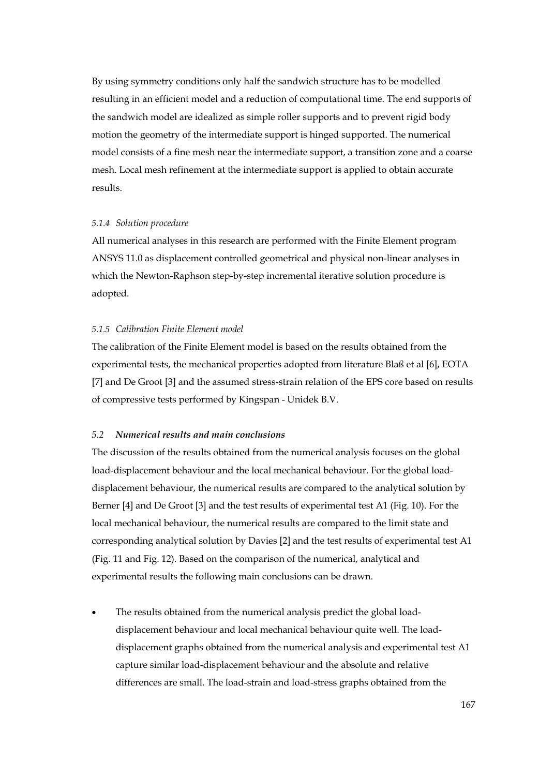By using symmetry conditions only half the sandwich structure has to be modelled resulting in an efficient model and a reduction of computational time. The end supports of the sandwich model are idealized as simple roller supports and to prevent rigid body motion the geometry of the intermediate support is hinged supported. The numerical model consists of a fine mesh near the intermediate support, a transition zone and a coarse mesh. Local mesh refinement at the intermediate support is applied to obtain accurate results.

#### *5.1.4 Solution procedure*

All numerical analyses in this research are performed with the Finite Element program ANSYS 11.0 as displacement controlled geometrical and physical non-linear analyses in which the Newton-Raphson step-by-step incremental iterative solution procedure is adopted.

#### *5.1.5 Calibration Finite Element model*

The calibration of the Finite Element model is based on the results obtained from the experimental tests, the mechanical properties adopted from literature Blaß et al [6], EOTA [7] and De Groot [3] and the assumed stress-strain relation of the EPS core based on results of compressive tests performed by Kingspan - Unidek B.V.

## *5.2 Numerical results and main conclusions*

The discussion of the results obtained from the numerical analysis focuses on the global load-displacement behaviour and the local mechanical behaviour. For the global loaddisplacement behaviour, the numerical results are compared to the analytical solution by Berner [4] and De Groot [3] and the test results of experimental test A1 (Fig. 10). For the local mechanical behaviour, the numerical results are compared to the limit state and corresponding analytical solution by Davies [2] and the test results of experimental test A1 (Fig. 11 and Fig. 12). Based on the comparison of the numerical, analytical and experimental results the following main conclusions can be drawn.

The results obtained from the numerical analysis predict the global loaddisplacement behaviour and local mechanical behaviour quite well. The loaddisplacement graphs obtained from the numerical analysis and experimental test A1 capture similar load-displacement behaviour and the absolute and relative differences are small. The load-strain and load-stress graphs obtained from the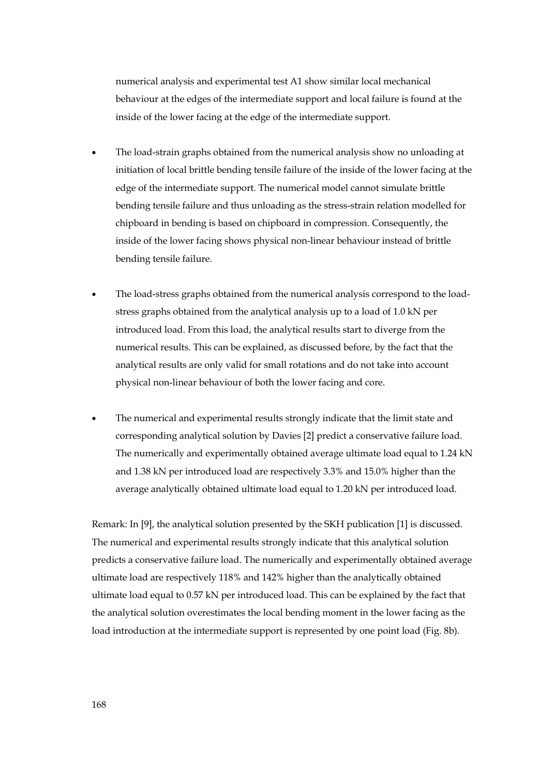numerical analysis and experimental test A1 show similar local mechanical behaviour at the edges of the intermediate support and local failure is found at the inside of the lower facing at the edge of the intermediate support.

- The load-strain graphs obtained from the numerical analysis show no unloading at initiation of local brittle bending tensile failure of the inside of the lower facing at the edge of the intermediate support. The numerical model cannot simulate brittle bending tensile failure and thus unloading as the stress-strain relation modelled for chipboard in bending is based on chipboard in compression. Consequently, the inside of the lower facing shows physical non-linear behaviour instead of brittle bending tensile failure.
- The load-stress graphs obtained from the numerical analysis correspond to the loadstress graphs obtained from the analytical analysis up to a load of 1.0 kN per introduced load. From this load, the analytical results start to diverge from the numerical results. This can be explained, as discussed before, by the fact that the analytical results are only valid for small rotations and do not take into account physical non-linear behaviour of both the lower facing and core.
- The numerical and experimental results strongly indicate that the limit state and corresponding analytical solution by Davies [2] predict a conservative failure load. The numerically and experimentally obtained average ultimate load equal to 1.24 kN and 1.38 kN per introduced load are respectively 3.3% and 15.0% higher than the average analytically obtained ultimate load equal to 1.20 kN per introduced load.

Remark: In [9], the analytical solution presented by the SKH publication [1] is discussed. The numerical and experimental results strongly indicate that this analytical solution predicts a conservative failure load. The numerically and experimentally obtained average ultimate load are respectively 118% and 142% higher than the analytically obtained ultimate load equal to 0.57 kN per introduced load. This can be explained by the fact that the analytical solution overestimates the local bending moment in the lower facing as the load introduction at the intermediate support is represented by one point load (Fig. 8b).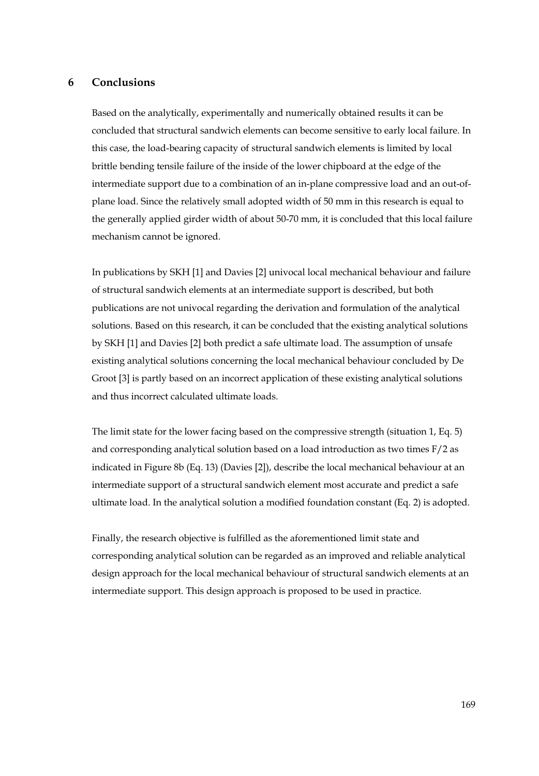## **6 Conclusions**

Based on the analytically, experimentally and numerically obtained results it can be concluded that structural sandwich elements can become sensitive to early local failure. In this case, the load-bearing capacity of structural sandwich elements is limited by local brittle bending tensile failure of the inside of the lower chipboard at the edge of the intermediate support due to a combination of an in-plane compressive load and an out-ofplane load. Since the relatively small adopted width of 50 mm in this research is equal to the generally applied girder width of about 50-70 mm, it is concluded that this local failure mechanism cannot be ignored.

In publications by SKH [1] and Davies [2] univocal local mechanical behaviour and failure of structural sandwich elements at an intermediate support is described, but both publications are not univocal regarding the derivation and formulation of the analytical solutions. Based on this research, it can be concluded that the existing analytical solutions by SKH [1] and Davies [2] both predict a safe ultimate load. The assumption of unsafe existing analytical solutions concerning the local mechanical behaviour concluded by De Groot [3] is partly based on an incorrect application of these existing analytical solutions and thus incorrect calculated ultimate loads.

The limit state for the lower facing based on the compressive strength (situation 1, Eq. 5) and corresponding analytical solution based on a load introduction as two times F/2 as indicated in Figure 8b (Eq. 13) (Davies [2]), describe the local mechanical behaviour at an intermediate support of a structural sandwich element most accurate and predict a safe ultimate load. In the analytical solution a modified foundation constant (Eq. 2) is adopted.

Finally, the research objective is fulfilled as the aforementioned limit state and corresponding analytical solution can be regarded as an improved and reliable analytical design approach for the local mechanical behaviour of structural sandwich elements at an intermediate support. This design approach is proposed to be used in practice.